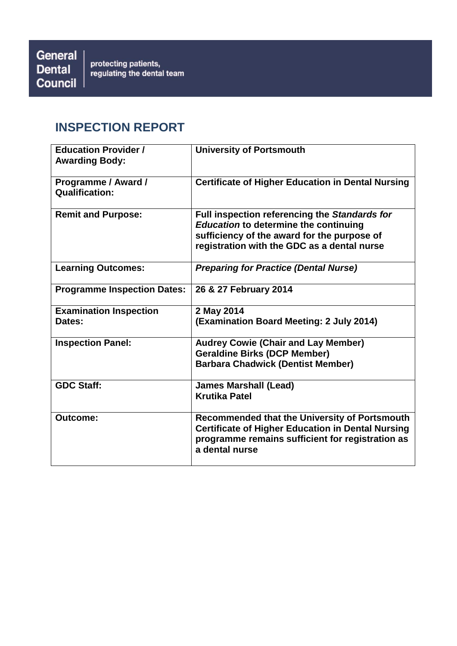# **INSPECTION REPORT**

| <b>Education Provider /</b><br><b>Awarding Body:</b> | <b>University of Portsmouth</b>                                                                                                                                                             |
|------------------------------------------------------|---------------------------------------------------------------------------------------------------------------------------------------------------------------------------------------------|
| Programme / Award /<br><b>Qualification:</b>         | <b>Certificate of Higher Education in Dental Nursing</b>                                                                                                                                    |
| <b>Remit and Purpose:</b>                            | Full inspection referencing the Standards for<br><b>Education to determine the continuing</b><br>sufficiency of the award for the purpose of<br>registration with the GDC as a dental nurse |
| <b>Learning Outcomes:</b>                            | <b>Preparing for Practice (Dental Nurse)</b>                                                                                                                                                |
| <b>Programme Inspection Dates:</b>                   | 26 & 27 February 2014                                                                                                                                                                       |
| <b>Examination Inspection</b><br>Dates:              | 2 May 2014<br>(Examination Board Meeting: 2 July 2014)                                                                                                                                      |
| <b>Inspection Panel:</b>                             | <b>Audrey Cowie (Chair and Lay Member)</b><br><b>Geraldine Birks (DCP Member)</b><br><b>Barbara Chadwick (Dentist Member)</b>                                                               |
| <b>GDC Staff:</b>                                    | <b>James Marshall (Lead)</b><br><b>Krutika Patel</b>                                                                                                                                        |
| <b>Outcome:</b>                                      | Recommended that the University of Portsmouth<br><b>Certificate of Higher Education in Dental Nursing</b><br>programme remains sufficient for registration as<br>a dental nurse             |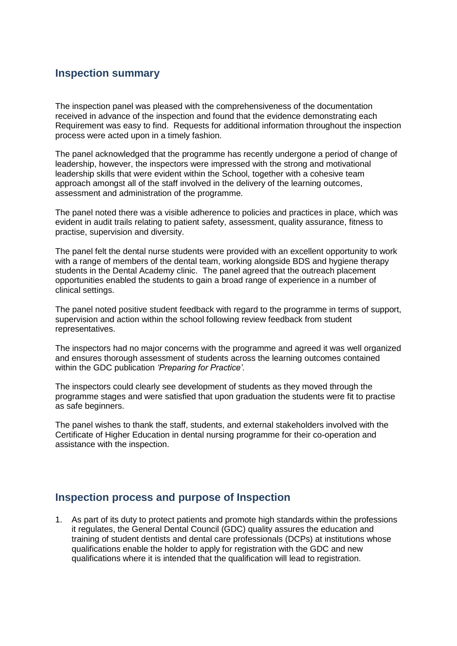### **Inspection summary**

The inspection panel was pleased with the comprehensiveness of the documentation received in advance of the inspection and found that the evidence demonstrating each Requirement was easy to find. Requests for additional information throughout the inspection process were acted upon in a timely fashion.

The panel acknowledged that the programme has recently undergone a period of change of leadership, however, the inspectors were impressed with the strong and motivational leadership skills that were evident within the School, together with a cohesive team approach amongst all of the staff involved in the delivery of the learning outcomes, assessment and administration of the programme.

The panel noted there was a visible adherence to policies and practices in place, which was evident in audit trails relating to patient safety, assessment, quality assurance, fitness to practise, supervision and diversity.

The panel felt the dental nurse students were provided with an excellent opportunity to work with a range of members of the dental team, working alongside BDS and hygiene therapy students in the Dental Academy clinic. The panel agreed that the outreach placement opportunities enabled the students to gain a broad range of experience in a number of clinical settings.

The panel noted positive student feedback with regard to the programme in terms of support, supervision and action within the school following review feedback from student representatives.

The inspectors had no major concerns with the programme and agreed it was well organized and ensures thorough assessment of students across the learning outcomes contained within the GDC publication *'Preparing for Practice'*.

The inspectors could clearly see development of students as they moved through the programme stages and were satisfied that upon graduation the students were fit to practise as safe beginners.

The panel wishes to thank the staff, students, and external stakeholders involved with the Certificate of Higher Education in dental nursing programme for their co-operation and assistance with the inspection.

### **Inspection process and purpose of Inspection**

1. As part of its duty to protect patients and promote high standards within the professions it regulates, the General Dental Council (GDC) quality assures the education and training of student dentists and dental care professionals (DCPs) at institutions whose qualifications enable the holder to apply for registration with the GDC and new qualifications where it is intended that the qualification will lead to registration.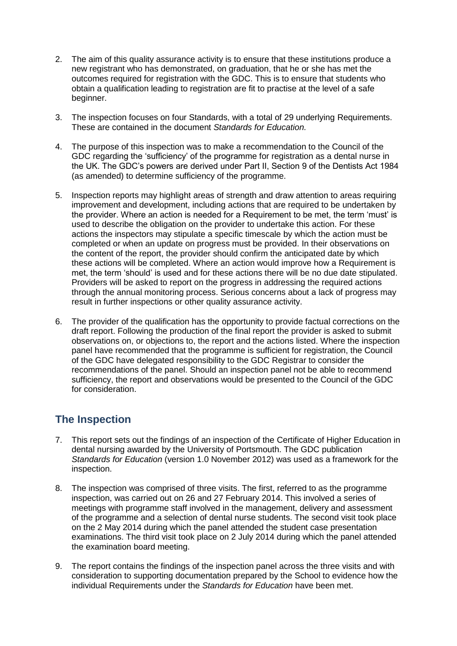- 2. The aim of this quality assurance activity is to ensure that these institutions produce a new registrant who has demonstrated, on graduation, that he or she has met the outcomes required for registration with the GDC. This is to ensure that students who obtain a qualification leading to registration are fit to practise at the level of a safe beginner.
- 3. The inspection focuses on four Standards, with a total of 29 underlying Requirements. These are contained in the document *Standards for Education.*
- 4. The purpose of this inspection was to make a recommendation to the Council of the GDC regarding the 'sufficiency' of the programme for registration as a dental nurse in the UK. The GDC's powers are derived under Part II, Section 9 of the Dentists Act 1984 (as amended) to determine sufficiency of the programme.
- 5. Inspection reports may highlight areas of strength and draw attention to areas requiring improvement and development, including actions that are required to be undertaken by the provider. Where an action is needed for a Requirement to be met, the term 'must' is used to describe the obligation on the provider to undertake this action. For these actions the inspectors may stipulate a specific timescale by which the action must be completed or when an update on progress must be provided. In their observations on the content of the report, the provider should confirm the anticipated date by which these actions will be completed. Where an action would improve how a Requirement is met, the term 'should' is used and for these actions there will be no due date stipulated. Providers will be asked to report on the progress in addressing the required actions through the annual monitoring process. Serious concerns about a lack of progress may result in further inspections or other quality assurance activity.
- 6. The provider of the qualification has the opportunity to provide factual corrections on the draft report. Following the production of the final report the provider is asked to submit observations on, or objections to, the report and the actions listed. Where the inspection panel have recommended that the programme is sufficient for registration, the Council of the GDC have delegated responsibility to the GDC Registrar to consider the recommendations of the panel. Should an inspection panel not be able to recommend sufficiency, the report and observations would be presented to the Council of the GDC for consideration.

## **The Inspection**

- 7. This report sets out the findings of an inspection of the Certificate of Higher Education in dental nursing awarded by the University of Portsmouth. The GDC publication *Standards for Education* (version 1.0 November 2012) was used as a framework for the inspection.
- 8. The inspection was comprised of three visits. The first, referred to as the programme inspection, was carried out on 26 and 27 February 2014. This involved a series of meetings with programme staff involved in the management, delivery and assessment of the programme and a selection of dental nurse students. The second visit took place on the 2 May 2014 during which the panel attended the student case presentation examinations. The third visit took place on 2 July 2014 during which the panel attended the examination board meeting.
- 9. The report contains the findings of the inspection panel across the three visits and with consideration to supporting documentation prepared by the School to evidence how the individual Requirements under the *Standards for Education* have been met.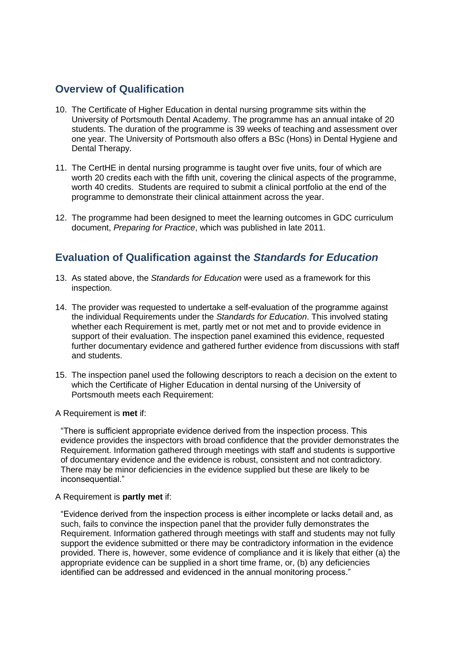### **Overview of Qualification**

- 10. The Certificate of Higher Education in dental nursing programme sits within the University of Portsmouth Dental Academy. The programme has an annual intake of 20 students. The duration of the programme is 39 weeks of teaching and assessment over one year. The University of Portsmouth also offers a BSc (Hons) in Dental Hygiene and Dental Therapy.
- 11. The CertHE in dental nursing programme is taught over five units, four of which are worth 20 credits each with the fifth unit, covering the clinical aspects of the programme, worth 40 credits. Students are required to submit a clinical portfolio at the end of the programme to demonstrate their clinical attainment across the year.
- 12. The programme had been designed to meet the learning outcomes in GDC curriculum document, *Preparing for Practice*, which was published in late 2011.

## **Evaluation of Qualification against the** *Standards for Education*

- 13. As stated above, the *Standards for Education* were used as a framework for this inspection.
- 14. The provider was requested to undertake a self-evaluation of the programme against the individual Requirements under the *Standards for Education*. This involved stating whether each Requirement is met, partly met or not met and to provide evidence in support of their evaluation. The inspection panel examined this evidence, requested further documentary evidence and gathered further evidence from discussions with staff and students.
- 15. The inspection panel used the following descriptors to reach a decision on the extent to which the Certificate of Higher Education in dental nursing of the University of Portsmouth meets each Requirement:

A Requirement is **met** if:

"There is sufficient appropriate evidence derived from the inspection process. This evidence provides the inspectors with broad confidence that the provider demonstrates the Requirement. Information gathered through meetings with staff and students is supportive of documentary evidence and the evidence is robust, consistent and not contradictory. There may be minor deficiencies in the evidence supplied but these are likely to be inconsequential."

#### A Requirement is **partly met** if:

"Evidence derived from the inspection process is either incomplete or lacks detail and, as such, fails to convince the inspection panel that the provider fully demonstrates the Requirement. Information gathered through meetings with staff and students may not fully support the evidence submitted or there may be contradictory information in the evidence provided. There is, however, some evidence of compliance and it is likely that either (a) the appropriate evidence can be supplied in a short time frame, or, (b) any deficiencies identified can be addressed and evidenced in the annual monitoring process."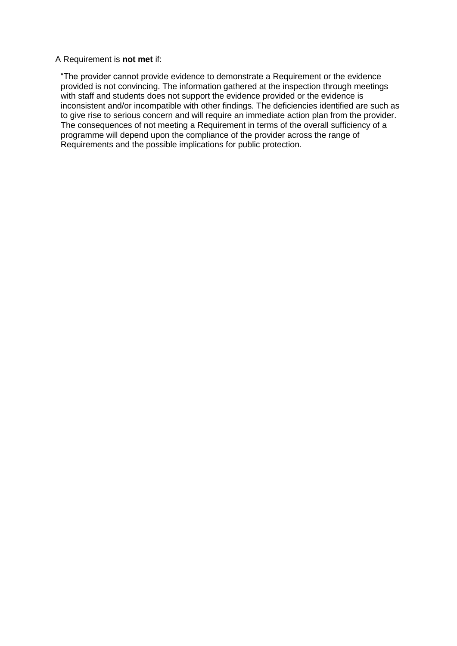#### A Requirement is **not met** if:

"The provider cannot provide evidence to demonstrate a Requirement or the evidence provided is not convincing. The information gathered at the inspection through meetings with staff and students does not support the evidence provided or the evidence is inconsistent and/or incompatible with other findings. The deficiencies identified are such as to give rise to serious concern and will require an immediate action plan from the provider. The consequences of not meeting a Requirement in terms of the overall sufficiency of a programme will depend upon the compliance of the provider across the range of Requirements and the possible implications for public protection.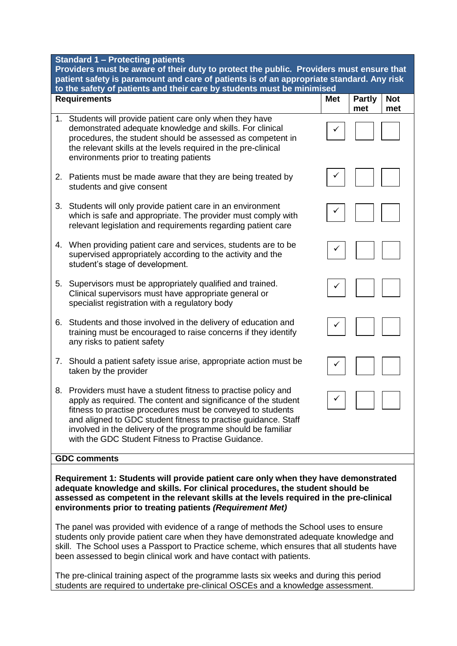| <b>Standard 1 - Protecting patients</b><br>Providers must be aware of their duty to protect the public. Providers must ensure that<br>patient safety is paramount and care of patients is of an appropriate standard. Any risk<br>to the safety of patients and their care by students must be minimised                                                                                    |            |                      |                   |  |
|---------------------------------------------------------------------------------------------------------------------------------------------------------------------------------------------------------------------------------------------------------------------------------------------------------------------------------------------------------------------------------------------|------------|----------------------|-------------------|--|
| <b>Requirements</b>                                                                                                                                                                                                                                                                                                                                                                         | <b>Met</b> | <b>Partly</b><br>met | <b>Not</b><br>met |  |
| 1. Students will provide patient care only when they have<br>demonstrated adequate knowledge and skills. For clinical<br>procedures, the student should be assessed as competent in<br>the relevant skills at the levels required in the pre-clinical<br>environments prior to treating patients                                                                                            |            |                      |                   |  |
| Patients must be made aware that they are being treated by<br>2.<br>students and give consent                                                                                                                                                                                                                                                                                               |            |                      |                   |  |
| 3.<br>Students will only provide patient care in an environment<br>which is safe and appropriate. The provider must comply with<br>relevant legislation and requirements regarding patient care                                                                                                                                                                                             |            |                      |                   |  |
| When providing patient care and services, students are to be<br>4.<br>supervised appropriately according to the activity and the<br>student's stage of development.                                                                                                                                                                                                                         |            |                      |                   |  |
| Supervisors must be appropriately qualified and trained.<br>5.<br>Clinical supervisors must have appropriate general or<br>specialist registration with a regulatory body                                                                                                                                                                                                                   |            |                      |                   |  |
| Students and those involved in the delivery of education and<br>6.<br>training must be encouraged to raise concerns if they identify<br>any risks to patient safety                                                                                                                                                                                                                         |            |                      |                   |  |
| Should a patient safety issue arise, appropriate action must be<br>7.<br>taken by the provider                                                                                                                                                                                                                                                                                              |            |                      |                   |  |
| Providers must have a student fitness to practise policy and<br>8.<br>apply as required. The content and significance of the student<br>fitness to practise procedures must be conveyed to students<br>and aligned to GDC student fitness to practise guidance. Staff<br>involved in the delivery of the programme should be familiar<br>with the GDC Student Fitness to Practise Guidance. | ٧          |                      |                   |  |
| <b>GDC comments</b>                                                                                                                                                                                                                                                                                                                                                                         |            |                      |                   |  |
| Requirement 1: Students will provide patient care only when they have demonstrated                                                                                                                                                                                                                                                                                                          |            |                      |                   |  |

**adequate knowledge and skills. For clinical procedures, the student should be assessed as competent in the relevant skills at the levels required in the pre-clinical environments prior to treating patients** *(Requirement Met)*

The panel was provided with evidence of a range of methods the School uses to ensure students only provide patient care when they have demonstrated adequate knowledge and skill. The School uses a Passport to Practice scheme, which ensures that all students have been assessed to begin clinical work and have contact with patients.

The pre-clinical training aspect of the programme lasts six weeks and during this period students are required to undertake pre-clinical OSCEs and a knowledge assessment.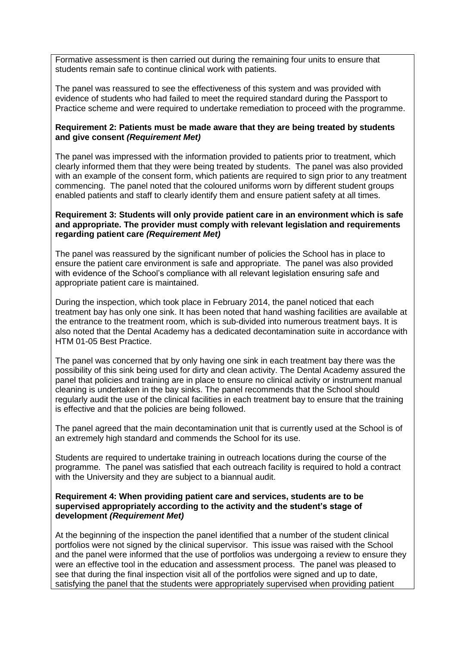Formative assessment is then carried out during the remaining four units to ensure that students remain safe to continue clinical work with patients.

The panel was reassured to see the effectiveness of this system and was provided with evidence of students who had failed to meet the required standard during the Passport to Practice scheme and were required to undertake remediation to proceed with the programme.

#### **Requirement 2: Patients must be made aware that they are being treated by students and give consent** *(Requirement Met)*

The panel was impressed with the information provided to patients prior to treatment, which clearly informed them that they were being treated by students. The panel was also provided with an example of the consent form, which patients are required to sign prior to any treatment commencing. The panel noted that the coloured uniforms worn by different student groups enabled patients and staff to clearly identify them and ensure patient safety at all times.

#### **Requirement 3: Students will only provide patient care in an environment which is safe and appropriate. The provider must comply with relevant legislation and requirements regarding patient care** *(Requirement Met)*

The panel was reassured by the significant number of policies the School has in place to ensure the patient care environment is safe and appropriate. The panel was also provided with evidence of the School's compliance with all relevant legislation ensuring safe and appropriate patient care is maintained.

During the inspection, which took place in February 2014, the panel noticed that each treatment bay has only one sink. It has been noted that hand washing facilities are available at the entrance to the treatment room, which is sub-divided into numerous treatment bays. It is also noted that the Dental Academy has a dedicated decontamination suite in accordance with HTM 01-05 Best Practice.

The panel was concerned that by only having one sink in each treatment bay there was the possibility of this sink being used for dirty and clean activity. The Dental Academy assured the panel that policies and training are in place to ensure no clinical activity or instrument manual cleaning is undertaken in the bay sinks. The panel recommends that the School should regularly audit the use of the clinical facilities in each treatment bay to ensure that the training is effective and that the policies are being followed.

The panel agreed that the main decontamination unit that is currently used at the School is of an extremely high standard and commends the School for its use.

Students are required to undertake training in outreach locations during the course of the programme. The panel was satisfied that each outreach facility is required to hold a contract with the University and they are subject to a biannual audit.

#### **Requirement 4: When providing patient care and services, students are to be supervised appropriately according to the activity and the student's stage of development** *(Requirement Met)*

At the beginning of the inspection the panel identified that a number of the student clinical portfolios were not signed by the clinical supervisor. This issue was raised with the School and the panel were informed that the use of portfolios was undergoing a review to ensure they were an effective tool in the education and assessment process. The panel was pleased to see that during the final inspection visit all of the portfolios were signed and up to date, satisfying the panel that the students were appropriately supervised when providing patient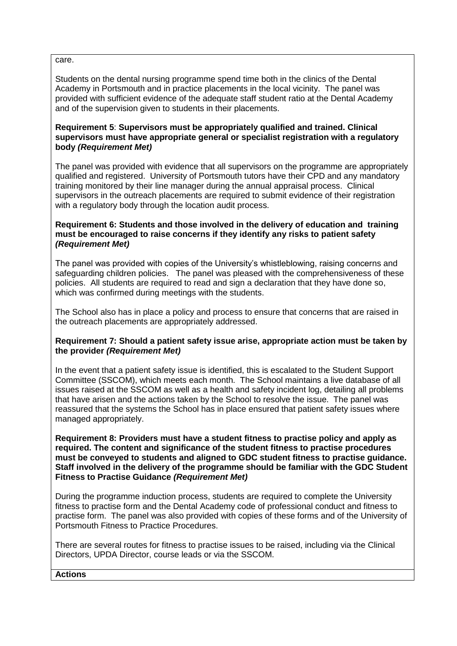care.

Students on the dental nursing programme spend time both in the clinics of the Dental Academy in Portsmouth and in practice placements in the local vicinity. The panel was provided with sufficient evidence of the adequate staff student ratio at the Dental Academy and of the supervision given to students in their placements.

#### **Requirement 5**: **Supervisors must be appropriately qualified and trained. Clinical supervisors must have appropriate general or specialist registration with a regulatory body** *(Requirement Met)*

The panel was provided with evidence that all supervisors on the programme are appropriately qualified and registered. University of Portsmouth tutors have their CPD and any mandatory training monitored by their line manager during the annual appraisal process. Clinical supervisors in the outreach placements are required to submit evidence of their registration with a regulatory body through the location audit process.

#### **Requirement 6: Students and those involved in the delivery of education and training must be encouraged to raise concerns if they identify any risks to patient safety** *(Requirement Met)*

The panel was provided with copies of the University's whistleblowing, raising concerns and safeguarding children policies. The panel was pleased with the comprehensiveness of these policies. All students are required to read and sign a declaration that they have done so, which was confirmed during meetings with the students.

The School also has in place a policy and process to ensure that concerns that are raised in the outreach placements are appropriately addressed.

#### **Requirement 7: Should a patient safety issue arise, appropriate action must be taken by the provider** *(Requirement Met)*

In the event that a patient safety issue is identified, this is escalated to the Student Support Committee (SSCOM), which meets each month. The School maintains a live database of all issues raised at the SSCOM as well as a health and safety incident log, detailing all problems that have arisen and the actions taken by the School to resolve the issue. The panel was reassured that the systems the School has in place ensured that patient safety issues where managed appropriately.

**Requirement 8: Providers must have a student fitness to practise policy and apply as required. The content and significance of the student fitness to practise procedures must be conveyed to students and aligned to GDC student fitness to practise guidance. Staff involved in the delivery of the programme should be familiar with the GDC Student Fitness to Practise Guidance** *(Requirement Met)*

During the programme induction process, students are required to complete the University fitness to practise form and the Dental Academy code of professional conduct and fitness to practise form. The panel was also provided with copies of these forms and of the University of Portsmouth Fitness to Practice Procedures.

There are several routes for fitness to practise issues to be raised, including via the Clinical Directors, UPDA Director, course leads or via the SSCOM.

#### **Actions**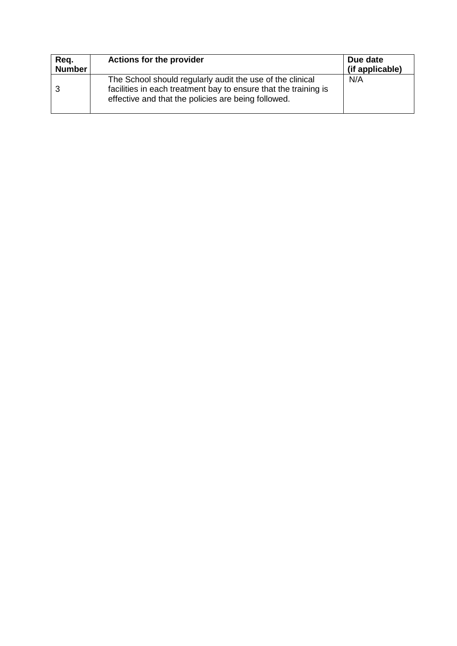| Req.<br><b>Number</b> | <b>Actions for the provider</b>                                                                                                                                                     | Due date<br>(if applicable) |
|-----------------------|-------------------------------------------------------------------------------------------------------------------------------------------------------------------------------------|-----------------------------|
|                       | The School should regularly audit the use of the clinical<br>facilities in each treatment bay to ensure that the training is<br>effective and that the policies are being followed. | N/A                         |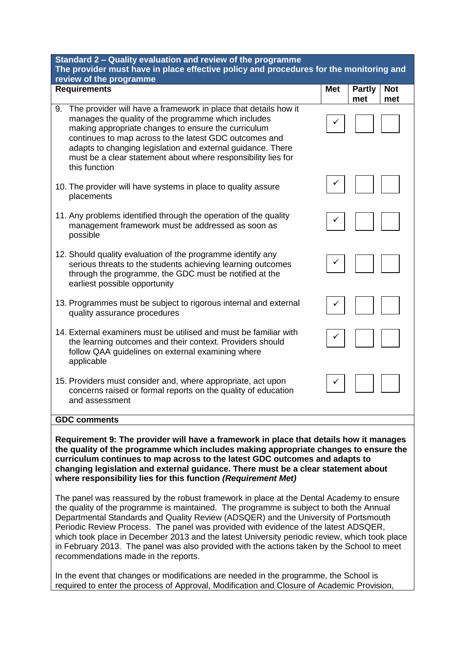| Standard 2 - Quality evaluation and review of the programme                                                                                                                                                                                                                                                                                                                                    |  |  |  |
|------------------------------------------------------------------------------------------------------------------------------------------------------------------------------------------------------------------------------------------------------------------------------------------------------------------------------------------------------------------------------------------------|--|--|--|
| The provider must have in place effective policy and procedures for the monitoring and<br>review of the programme                                                                                                                                                                                                                                                                              |  |  |  |
| <b>Requirements</b><br><b>Met</b><br><b>Not</b><br><b>Partly</b><br>met<br>met                                                                                                                                                                                                                                                                                                                 |  |  |  |
| The provider will have a framework in place that details how it<br>9.<br>manages the quality of the programme which includes<br>making appropriate changes to ensure the curriculum<br>continues to map across to the latest GDC outcomes and<br>adapts to changing legislation and external guidance. There<br>must be a clear statement about where responsibility lies for<br>this function |  |  |  |
| 10. The provider will have systems in place to quality assure<br>placements                                                                                                                                                                                                                                                                                                                    |  |  |  |
| 11. Any problems identified through the operation of the quality<br>management framework must be addressed as soon as<br>possible                                                                                                                                                                                                                                                              |  |  |  |
| 12. Should quality evaluation of the programme identify any<br>serious threats to the students achieving learning outcomes<br>through the programme, the GDC must be notified at the<br>earliest possible opportunity                                                                                                                                                                          |  |  |  |
| 13. Programmes must be subject to rigorous internal and external<br>quality assurance procedures                                                                                                                                                                                                                                                                                               |  |  |  |
| 14. External examiners must be utilised and must be familiar with<br>the learning outcomes and their context. Providers should<br>follow QAA guidelines on external examining where<br>applicable                                                                                                                                                                                              |  |  |  |
| 15. Providers must consider and, where appropriate, act upon<br>concerns raised or formal reports on the quality of education<br>and assessment                                                                                                                                                                                                                                                |  |  |  |
| <b>GDC comments</b>                                                                                                                                                                                                                                                                                                                                                                            |  |  |  |
| Requirement 9: The provider will have a framework in place that details how it manages<br>the quality of the programme which includes making appropriate changes to ensure the                                                                                                                                                                                                                 |  |  |  |

**curriculum continues to map across to the latest GDC outcomes and adapts to changing legislation and external guidance. There must be a clear statement about where responsibility lies for this function** *(Requirement Met)*

The panel was reassured by the robust framework in place at the Dental Academy to ensure the quality of the programme is maintained. The programme is subject to both the Annual Departmental Standards and Quality Review (ADSQER) and the University of Portsmouth Periodic Review Process. The panel was provided with evidence of the latest ADSQER, which took place in December 2013 and the latest University periodic review, which took place in February 2013. The panel was also provided with the actions taken by the School to meet recommendations made in the reports.

In the event that changes or modifications are needed in the programme, the School is required to enter the process of Approval, Modification and Closure of Academic Provision,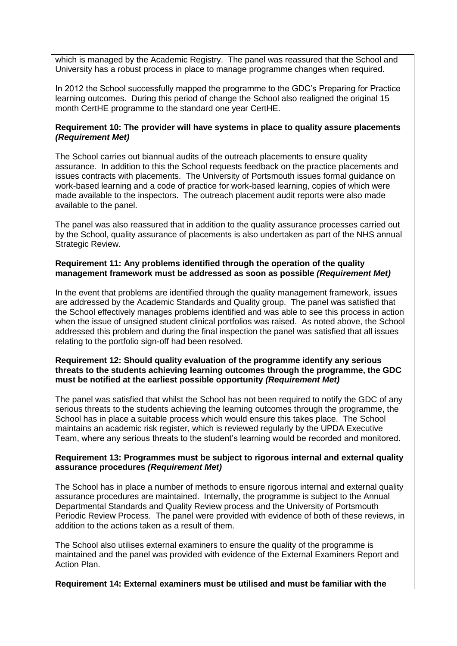which is managed by the Academic Registry. The panel was reassured that the School and University has a robust process in place to manage programme changes when required.

In 2012 the School successfully mapped the programme to the GDC's Preparing for Practice learning outcomes. During this period of change the School also realigned the original 15 month CertHE programme to the standard one year CertHE.

#### **Requirement 10: The provider will have systems in place to quality assure placements** *(Requirement Met)*

The School carries out biannual audits of the outreach placements to ensure quality assurance. In addition to this the School requests feedback on the practice placements and issues contracts with placements. The University of Portsmouth issues formal guidance on work-based learning and a code of practice for work-based learning, copies of which were made available to the inspectors. The outreach placement audit reports were also made available to the panel.

The panel was also reassured that in addition to the quality assurance processes carried out by the School, quality assurance of placements is also undertaken as part of the NHS annual Strategic Review.

#### **Requirement 11: Any problems identified through the operation of the quality management framework must be addressed as soon as possible** *(Requirement Met)*

In the event that problems are identified through the quality management framework, issues are addressed by the Academic Standards and Quality group. The panel was satisfied that the School effectively manages problems identified and was able to see this process in action when the issue of unsigned student clinical portfolios was raised. As noted above, the School addressed this problem and during the final inspection the panel was satisfied that all issues relating to the portfolio sign-off had been resolved.

#### **Requirement 12: Should quality evaluation of the programme identify any serious threats to the students achieving learning outcomes through the programme, the GDC must be notified at the earliest possible opportunity** *(Requirement Met)*

The panel was satisfied that whilst the School has not been required to notify the GDC of any serious threats to the students achieving the learning outcomes through the programme, the School has in place a suitable process which would ensure this takes place. The School maintains an academic risk register, which is reviewed regularly by the UPDA Executive Team, where any serious threats to the student's learning would be recorded and monitored.

#### **Requirement 13: Programmes must be subject to rigorous internal and external quality assurance procedures** *(Requirement Met)*

The School has in place a number of methods to ensure rigorous internal and external quality assurance procedures are maintained. Internally, the programme is subject to the Annual Departmental Standards and Quality Review process and the University of Portsmouth Periodic Review Process. The panel were provided with evidence of both of these reviews, in addition to the actions taken as a result of them.

The School also utilises external examiners to ensure the quality of the programme is maintained and the panel was provided with evidence of the External Examiners Report and Action Plan.

#### **Requirement 14: External examiners must be utilised and must be familiar with the**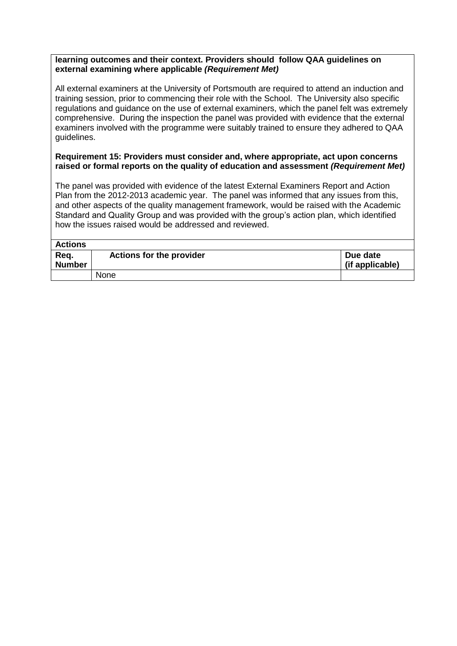#### **learning outcomes and their context. Providers should follow QAA guidelines on external examining where applicable** *(Requirement Met)*

All external examiners at the University of Portsmouth are required to attend an induction and training session, prior to commencing their role with the School. The University also specific regulations and guidance on the use of external examiners, which the panel felt was extremely comprehensive. During the inspection the panel was provided with evidence that the external examiners involved with the programme were suitably trained to ensure they adhered to QAA guidelines.

#### **Requirement 15: Providers must consider and, where appropriate, act upon concerns raised or formal reports on the quality of education and assessment** *(Requirement Met)*

The panel was provided with evidence of the latest External Examiners Report and Action Plan from the 2012-2013 academic year. The panel was informed that any issues from this, and other aspects of the quality management framework, would be raised with the Academic Standard and Quality Group and was provided with the group's action plan, which identified how the issues raised would be addressed and reviewed.

| <b>Actions</b>        |                                 |                             |
|-----------------------|---------------------------------|-----------------------------|
| Req.<br><b>Number</b> | <b>Actions for the provider</b> | Due date<br>(if applicable) |
|                       | None                            |                             |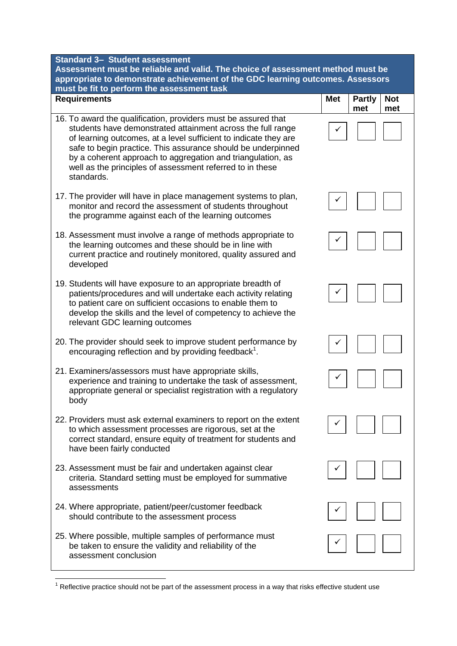| <b>Standard 3- Student assessment</b><br>Assessment must be reliable and valid. The choice of assessment method must be<br>appropriate to demonstrate achievement of the GDC learning outcomes. Assessors<br>must be fit to perform the assessment task                                                                                                                                                     |            |                      |                   |  |
|-------------------------------------------------------------------------------------------------------------------------------------------------------------------------------------------------------------------------------------------------------------------------------------------------------------------------------------------------------------------------------------------------------------|------------|----------------------|-------------------|--|
| <b>Requirements</b>                                                                                                                                                                                                                                                                                                                                                                                         | <b>Met</b> | <b>Partly</b><br>met | <b>Not</b><br>met |  |
| 16. To award the qualification, providers must be assured that<br>students have demonstrated attainment across the full range<br>of learning outcomes, at a level sufficient to indicate they are<br>safe to begin practice. This assurance should be underpinned<br>by a coherent approach to aggregation and triangulation, as<br>well as the principles of assessment referred to in these<br>standards. |            |                      |                   |  |
| 17. The provider will have in place management systems to plan,<br>monitor and record the assessment of students throughout<br>the programme against each of the learning outcomes                                                                                                                                                                                                                          |            |                      |                   |  |
| 18. Assessment must involve a range of methods appropriate to<br>the learning outcomes and these should be in line with<br>current practice and routinely monitored, quality assured and<br>developed                                                                                                                                                                                                       |            |                      |                   |  |
| 19. Students will have exposure to an appropriate breadth of<br>patients/procedures and will undertake each activity relating<br>to patient care on sufficient occasions to enable them to<br>develop the skills and the level of competency to achieve the<br>relevant GDC learning outcomes                                                                                                               |            |                      |                   |  |
| 20. The provider should seek to improve student performance by<br>encouraging reflection and by providing feedback <sup>1</sup> .                                                                                                                                                                                                                                                                           |            |                      |                   |  |
| 21. Examiners/assessors must have appropriate skills,<br>experience and training to undertake the task of assessment,<br>appropriate general or specialist registration with a regulatory<br>body                                                                                                                                                                                                           |            |                      |                   |  |
| 22. Providers must ask external examiners to report on the extent<br>to which assessment processes are rigorous, set at the<br>correct standard, ensure equity of treatment for students and<br>have been fairly conducted                                                                                                                                                                                  |            |                      |                   |  |
| 23. Assessment must be fair and undertaken against clear<br>criteria. Standard setting must be employed for summative<br>assessments                                                                                                                                                                                                                                                                        |            |                      |                   |  |
| 24. Where appropriate, patient/peer/customer feedback<br>should contribute to the assessment process                                                                                                                                                                                                                                                                                                        |            |                      |                   |  |
| 25. Where possible, multiple samples of performance must<br>be taken to ensure the validity and reliability of the<br>assessment conclusion                                                                                                                                                                                                                                                                 |            |                      |                   |  |

**<sup>.</sup>**  $1$  Reflective practice should not be part of the assessment process in a way that risks effective student use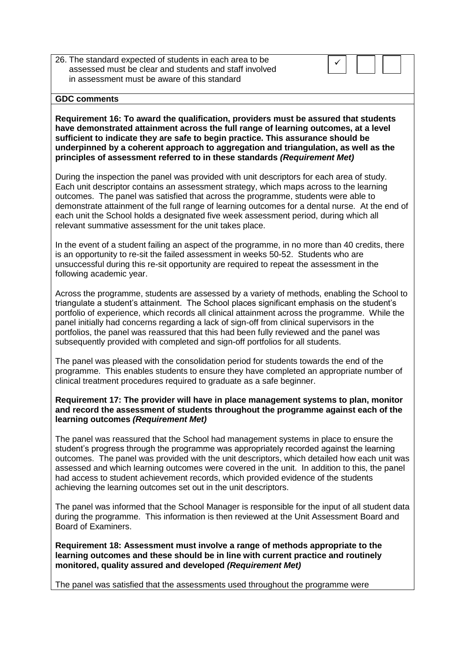26. The standard expected of students in each area to be assessed must be clear and students and staff involved in assessment must be aware of this standard



#### **GDC comments**

**Requirement 16: To award the qualification, providers must be assured that students have demonstrated attainment across the full range of learning outcomes, at a level sufficient to indicate they are safe to begin practice. This assurance should be underpinned by a coherent approach to aggregation and triangulation, as well as the principles of assessment referred to in these standards** *(Requirement Met)*

During the inspection the panel was provided with unit descriptors for each area of study. Each unit descriptor contains an assessment strategy, which maps across to the learning outcomes. The panel was satisfied that across the programme, students were able to demonstrate attainment of the full range of learning outcomes for a dental nurse. At the end of each unit the School holds a designated five week assessment period, during which all relevant summative assessment for the unit takes place.

In the event of a student failing an aspect of the programme, in no more than 40 credits, there is an opportunity to re-sit the failed assessment in weeks 50-52. Students who are unsuccessful during this re-sit opportunity are required to repeat the assessment in the following academic year.

Across the programme, students are assessed by a variety of methods, enabling the School to triangulate a student's attainment. The School places significant emphasis on the student's portfolio of experience, which records all clinical attainment across the programme. While the panel initially had concerns regarding a lack of sign-off from clinical supervisors in the portfolios, the panel was reassured that this had been fully reviewed and the panel was subsequently provided with completed and sign-off portfolios for all students.

The panel was pleased with the consolidation period for students towards the end of the programme. This enables students to ensure they have completed an appropriate number of clinical treatment procedures required to graduate as a safe beginner.

#### **Requirement 17: The provider will have in place management systems to plan, monitor and record the assessment of students throughout the programme against each of the learning outcomes** *(Requirement Met)*

The panel was reassured that the School had management systems in place to ensure the student's progress through the programme was appropriately recorded against the learning outcomes. The panel was provided with the unit descriptors, which detailed how each unit was assessed and which learning outcomes were covered in the unit. In addition to this, the panel had access to student achievement records, which provided evidence of the students achieving the learning outcomes set out in the unit descriptors.

The panel was informed that the School Manager is responsible for the input of all student data during the programme. This information is then reviewed at the Unit Assessment Board and Board of Examiners.

**Requirement 18: Assessment must involve a range of methods appropriate to the learning outcomes and these should be in line with current practice and routinely monitored, quality assured and developed** *(Requirement Met)*

The panel was satisfied that the assessments used throughout the programme were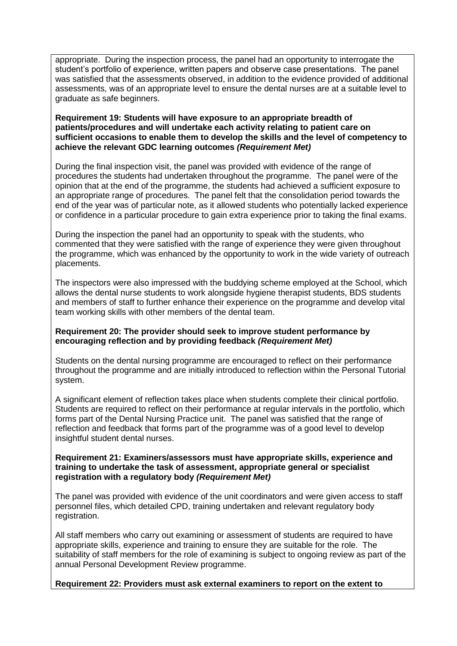appropriate. During the inspection process, the panel had an opportunity to interrogate the student's portfolio of experience, written papers and observe case presentations. The panel was satisfied that the assessments observed, in addition to the evidence provided of additional assessments, was of an appropriate level to ensure the dental nurses are at a suitable level to graduate as safe beginners.

#### **Requirement 19: Students will have exposure to an appropriate breadth of patients/procedures and will undertake each activity relating to patient care on sufficient occasions to enable them to develop the skills and the level of competency to achieve the relevant GDC learning outcomes** *(Requirement Met)*

During the final inspection visit, the panel was provided with evidence of the range of procedures the students had undertaken throughout the programme. The panel were of the opinion that at the end of the programme, the students had achieved a sufficient exposure to an appropriate range of procedures. The panel felt that the consolidation period towards the end of the year was of particular note, as it allowed students who potentially lacked experience or confidence in a particular procedure to gain extra experience prior to taking the final exams.

During the inspection the panel had an opportunity to speak with the students, who commented that they were satisfied with the range of experience they were given throughout the programme, which was enhanced by the opportunity to work in the wide variety of outreach placements.

The inspectors were also impressed with the buddying scheme employed at the School, which allows the dental nurse students to work alongside hygiene therapist students, BDS students and members of staff to further enhance their experience on the programme and develop vital team working skills with other members of the dental team.

#### **Requirement 20: The provider should seek to improve student performance by encouraging reflection and by providing feedback** *(Requirement Met)*

Students on the dental nursing programme are encouraged to reflect on their performance throughout the programme and are initially introduced to reflection within the Personal Tutorial system.

A significant element of reflection takes place when students complete their clinical portfolio. Students are required to reflect on their performance at regular intervals in the portfolio, which forms part of the Dental Nursing Practice unit. The panel was satisfied that the range of reflection and feedback that forms part of the programme was of a good level to develop insightful student dental nurses.

#### **Requirement 21: Examiners/assessors must have appropriate skills, experience and training to undertake the task of assessment, appropriate general or specialist registration with a regulatory body** *(Requirement Met)*

The panel was provided with evidence of the unit coordinators and were given access to staff personnel files, which detailed CPD, training undertaken and relevant regulatory body registration.

All staff members who carry out examining or assessment of students are required to have appropriate skills, experience and training to ensure they are suitable for the role. The suitability of staff members for the role of examining is subject to ongoing review as part of the annual Personal Development Review programme.

#### **Requirement 22: Providers must ask external examiners to report on the extent to**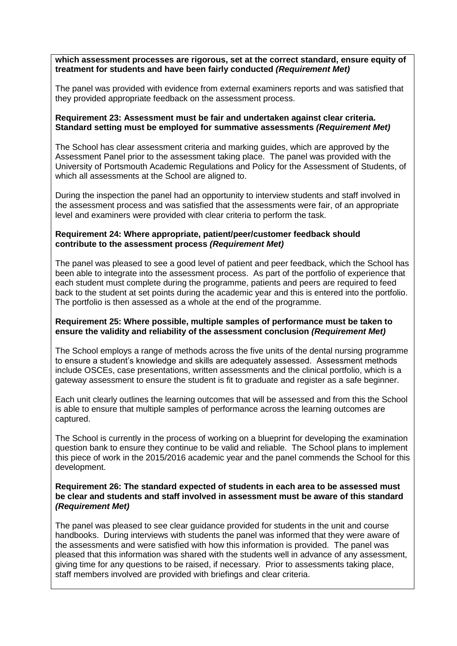**which assessment processes are rigorous, set at the correct standard, ensure equity of treatment for students and have been fairly conducted** *(Requirement Met)*

The panel was provided with evidence from external examiners reports and was satisfied that they provided appropriate feedback on the assessment process.

#### **Requirement 23: Assessment must be fair and undertaken against clear criteria. Standard setting must be employed for summative assessments** *(Requirement Met)*

The School has clear assessment criteria and marking guides, which are approved by the Assessment Panel prior to the assessment taking place. The panel was provided with the University of Portsmouth Academic Regulations and Policy for the Assessment of Students, of which all assessments at the School are aligned to.

During the inspection the panel had an opportunity to interview students and staff involved in the assessment process and was satisfied that the assessments were fair, of an appropriate level and examiners were provided with clear criteria to perform the task.

#### **Requirement 24: Where appropriate, patient/peer/customer feedback should contribute to the assessment process** *(Requirement Met)*

The panel was pleased to see a good level of patient and peer feedback, which the School has been able to integrate into the assessment process. As part of the portfolio of experience that each student must complete during the programme, patients and peers are required to feed back to the student at set points during the academic year and this is entered into the portfolio. The portfolio is then assessed as a whole at the end of the programme.

#### **Requirement 25: Where possible, multiple samples of performance must be taken to ensure the validity and reliability of the assessment conclusion** *(Requirement Met)*

The School employs a range of methods across the five units of the dental nursing programme to ensure a student's knowledge and skills are adequately assessed. Assessment methods include OSCEs, case presentations, written assessments and the clinical portfolio, which is a gateway assessment to ensure the student is fit to graduate and register as a safe beginner.

Each unit clearly outlines the learning outcomes that will be assessed and from this the School is able to ensure that multiple samples of performance across the learning outcomes are captured.

The School is currently in the process of working on a blueprint for developing the examination question bank to ensure they continue to be valid and reliable. The School plans to implement this piece of work in the 2015/2016 academic year and the panel commends the School for this development.

#### **Requirement 26: The standard expected of students in each area to be assessed must be clear and students and staff involved in assessment must be aware of this standard** *(Requirement Met)*

The panel was pleased to see clear guidance provided for students in the unit and course handbooks. During interviews with students the panel was informed that they were aware of the assessments and were satisfied with how this information is provided. The panel was pleased that this information was shared with the students well in advance of any assessment, giving time for any questions to be raised, if necessary. Prior to assessments taking place, staff members involved are provided with briefings and clear criteria.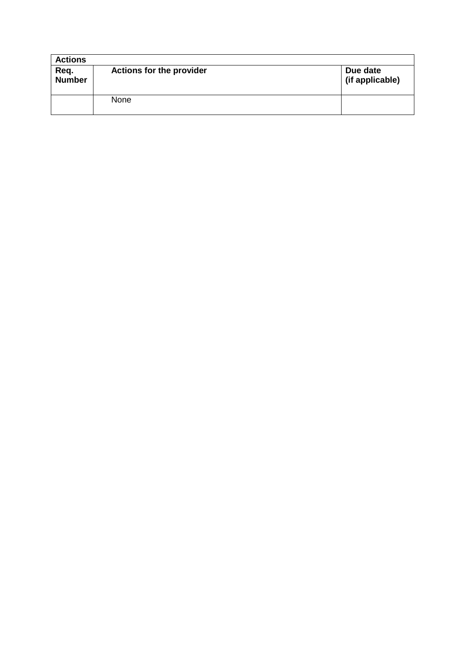| <b>Actions</b>        |                                 |                             |
|-----------------------|---------------------------------|-----------------------------|
| Req.<br><b>Number</b> | <b>Actions for the provider</b> | Due date<br>(if applicable) |
|                       | None                            |                             |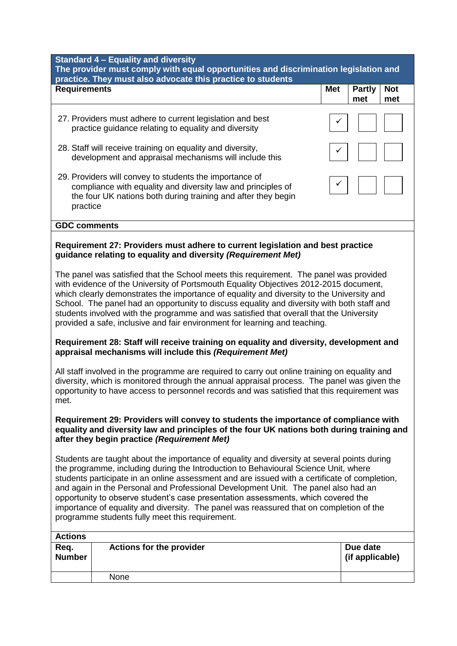| <b>Standard 4 - Equality and diversity</b><br>The provider must comply with equal opportunities and discrimination legislation and<br>practice. They must also advocate this practice to students                                                                                                                                                                                                                                                                                                                                                                                                            |                                                                                                                                                                                          |            |                                           |  |
|--------------------------------------------------------------------------------------------------------------------------------------------------------------------------------------------------------------------------------------------------------------------------------------------------------------------------------------------------------------------------------------------------------------------------------------------------------------------------------------------------------------------------------------------------------------------------------------------------------------|------------------------------------------------------------------------------------------------------------------------------------------------------------------------------------------|------------|-------------------------------------------|--|
| <b>Requirements</b>                                                                                                                                                                                                                                                                                                                                                                                                                                                                                                                                                                                          |                                                                                                                                                                                          | <b>Met</b> | <b>Partly</b><br><b>Not</b><br>met<br>met |  |
|                                                                                                                                                                                                                                                                                                                                                                                                                                                                                                                                                                                                              | 27. Providers must adhere to current legislation and best<br>practice guidance relating to equality and diversity                                                                        |            |                                           |  |
|                                                                                                                                                                                                                                                                                                                                                                                                                                                                                                                                                                                                              | 28. Staff will receive training on equality and diversity,<br>development and appraisal mechanisms will include this                                                                     |            |                                           |  |
| practice                                                                                                                                                                                                                                                                                                                                                                                                                                                                                                                                                                                                     | 29. Providers will convey to students the importance of<br>compliance with equality and diversity law and principles of<br>the four UK nations both during training and after they begin |            |                                           |  |
| <b>GDC comments</b>                                                                                                                                                                                                                                                                                                                                                                                                                                                                                                                                                                                          |                                                                                                                                                                                          |            |                                           |  |
|                                                                                                                                                                                                                                                                                                                                                                                                                                                                                                                                                                                                              | Requirement 27: Providers must adhere to current legislation and best practice<br>guidance relating to equality and diversity (Requirement Met)                                          |            |                                           |  |
| The panel was satisfied that the School meets this requirement. The panel was provided<br>with evidence of the University of Portsmouth Equality Objectives 2012-2015 document,<br>which clearly demonstrates the importance of equality and diversity to the University and<br>School. The panel had an opportunity to discuss equality and diversity with both staff and<br>students involved with the programme and was satisfied that overall that the University<br>provided a safe, inclusive and fair environment for learning and teaching.                                                          |                                                                                                                                                                                          |            |                                           |  |
| Requirement 28: Staff will receive training on equality and diversity, development and<br>appraisal mechanisms will include this (Requirement Met)                                                                                                                                                                                                                                                                                                                                                                                                                                                           |                                                                                                                                                                                          |            |                                           |  |
| All staff involved in the programme are required to carry out online training on equality and<br>diversity, which is monitored through the annual appraisal process. The panel was given the<br>opportunity to have access to personnel records and was satisfied that this requirement was<br>met.                                                                                                                                                                                                                                                                                                          |                                                                                                                                                                                          |            |                                           |  |
| Requirement 29: Providers will convey to students the importance of compliance with<br>equality and diversity law and principles of the four UK nations both during training and<br>after they begin practice (Requirement Met)                                                                                                                                                                                                                                                                                                                                                                              |                                                                                                                                                                                          |            |                                           |  |
| Students are taught about the importance of equality and diversity at several points during<br>the programme, including during the Introduction to Behavioural Science Unit, where<br>students participate in an online assessment and are issued with a certificate of completion,<br>and again in the Personal and Professional Development Unit. The panel also had an<br>opportunity to observe student's case presentation assessments, which covered the<br>importance of equality and diversity. The panel was reassured that on completion of the<br>programme students fully meet this requirement. |                                                                                                                                                                                          |            |                                           |  |
| <b>Actions</b>                                                                                                                                                                                                                                                                                                                                                                                                                                                                                                                                                                                               |                                                                                                                                                                                          |            |                                           |  |
| Req.<br><b>Number</b>                                                                                                                                                                                                                                                                                                                                                                                                                                                                                                                                                                                        | <b>Actions for the provider</b>                                                                                                                                                          |            | Due date<br>(if applicable)               |  |

None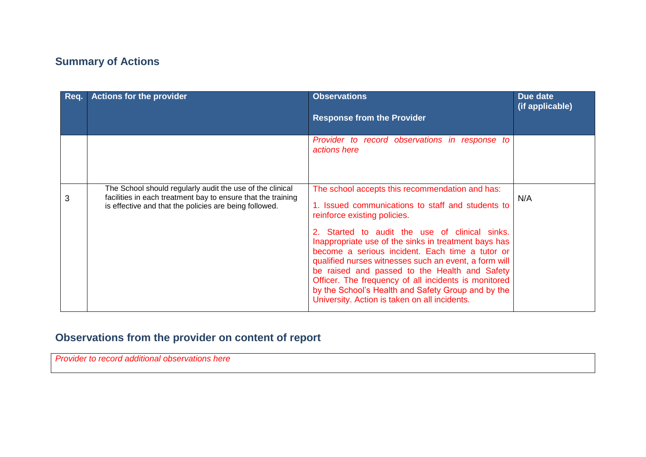## **Summary of Actions**

| Reg. | <b>Actions for the provider</b>                                                                                                                                                     | <b>Observations</b><br><b>Response from the Provider</b>                                                                                                                                                                                                                                                                                                                                                                                                                                                                                                                   | Due date<br>(if applicable) |
|------|-------------------------------------------------------------------------------------------------------------------------------------------------------------------------------------|----------------------------------------------------------------------------------------------------------------------------------------------------------------------------------------------------------------------------------------------------------------------------------------------------------------------------------------------------------------------------------------------------------------------------------------------------------------------------------------------------------------------------------------------------------------------------|-----------------------------|
|      |                                                                                                                                                                                     | Provider to record observations in response to<br>actions here                                                                                                                                                                                                                                                                                                                                                                                                                                                                                                             |                             |
| 3    | The School should regularly audit the use of the clinical<br>facilities in each treatment bay to ensure that the training<br>is effective and that the policies are being followed. | The school accepts this recommendation and has:<br>1. Issued communications to staff and students to<br>reinforce existing policies.<br>2. Started to audit the use of clinical sinks.<br>Inappropriate use of the sinks in treatment bays has<br>become a serious incident. Each time a tutor or<br>qualified nurses witnesses such an event, a form will<br>be raised and passed to the Health and Safety<br>Officer. The frequency of all incidents is monitored<br>by the School's Health and Safety Group and by the<br>University. Action is taken on all incidents. | N/A                         |

# **Observations from the provider on content of report**

*Provider to record additional observations here*